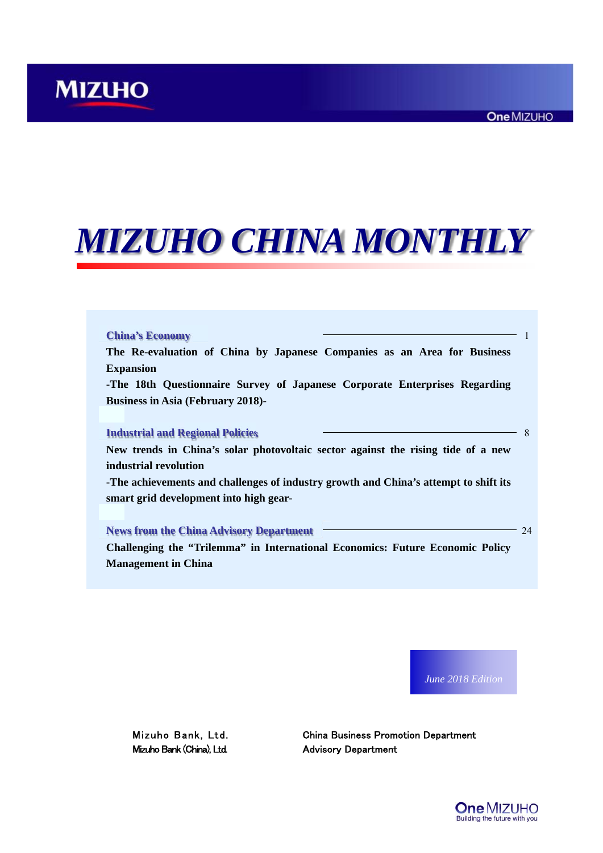# *MIZUHO CHINA MONTHLY*

|                  | The Re-evaluation of China by Japanese Companies as an Area for Business             |
|------------------|--------------------------------------------------------------------------------------|
| <b>Expansion</b> |                                                                                      |
|                  | -The 18th Questionnaire Survey of Japanese Corporate Enterprises Regarding           |
|                  | <b>Business in Asia (February 2018)-</b>                                             |
|                  |                                                                                      |
|                  | <b>Industrial and Regional Policies</b>                                              |
|                  | New trends in China's solar photovoltaic sector against the rising tide of a new     |
|                  | industrial revolution                                                                |
|                  | -The achievements and challenges of industry growth and China's attempt to shift its |
|                  | smart grid development into high gear-                                               |
|                  |                                                                                      |
|                  |                                                                                      |
|                  | <b>News from the China Advisory Department</b>                                       |
|                  | Challenging the "Trilemma" in International Economics: Future Economic Policy        |

*June 2018 Edition*

Mizuho Bank (China), Ltd. Advisory Department

Mizuho Bank, Ltd. China Business Promotion Department

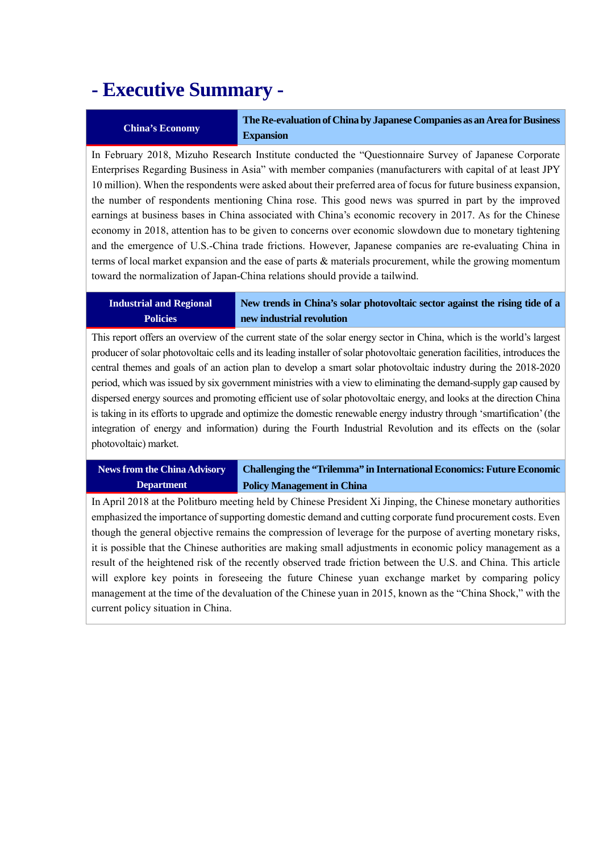## **- Executive Summary -**

**China's Economy The Re-evaluation of China by Japanese Companies as an Area for Business Expansion** 

In February 2018, Mizuho Research Institute conducted the "Questionnaire Survey of Japanese Corporate Enterprises Regarding Business in Asia" with member companies (manufacturers with capital of at least JPY 10 million). When the respondents were asked about their preferred area of focus for future business expansion, the number of respondents mentioning China rose. This good news was spurred in part by the improved earnings at business bases in China associated with China's economic recovery in 2017. As for the Chinese economy in 2018, attention has to be given to concerns over economic slowdown due to monetary tightening and the emergence of U.S.-China trade frictions. However, Japanese companies are re-evaluating China in terms of local market expansion and the ease of parts & materials procurement, while the growing momentum toward the normalization of Japan-China relations should provide a tailwind.

### **Industrial and Regional Policies**

**New trends in China's solar photovoltaic sector against the rising tide of a new industrial revolution** 

This report offers an overview of the current state of the solar energy sector in China, which is the world's largest producer of solar photovoltaic cells and its leading installer of solar photovoltaic generation facilities, introduces the central themes and goals of an action plan to develop a smart solar photovoltaic industry during the 2018-2020 period, which was issued by six government ministries with a view to eliminating the demand-supply gap caused by dispersed energy sources and promoting efficient use of solar photovoltaic energy, and looks at the direction China is taking in its efforts to upgrade and optimize the domestic renewable energy industry through 'smartification' (the integration of energy and information) during the Fourth Industrial Revolution and its effects on the (solar photovoltaic) market.

#### **News from the China Advisory Department Challenging the "Trilemma" in International Economics: Future Economic Policy Management in China**

In April 2018 at the Politburo meeting held by Chinese President Xi Jinping, the Chinese monetary authorities emphasized the importance of supporting domestic demand and cutting corporate fund procurement costs. Even though the general objective remains the compression of leverage for the purpose of averting monetary risks, it is possible that the Chinese authorities are making small adjustments in economic policy management as a result of the heightened risk of the recently observed trade friction between the U.S. and China. This article will explore key points in foreseeing the future Chinese yuan exchange market by comparing policy management at the time of the devaluation of the Chinese yuan in 2015, known as the "China Shock," with the current policy situation in China.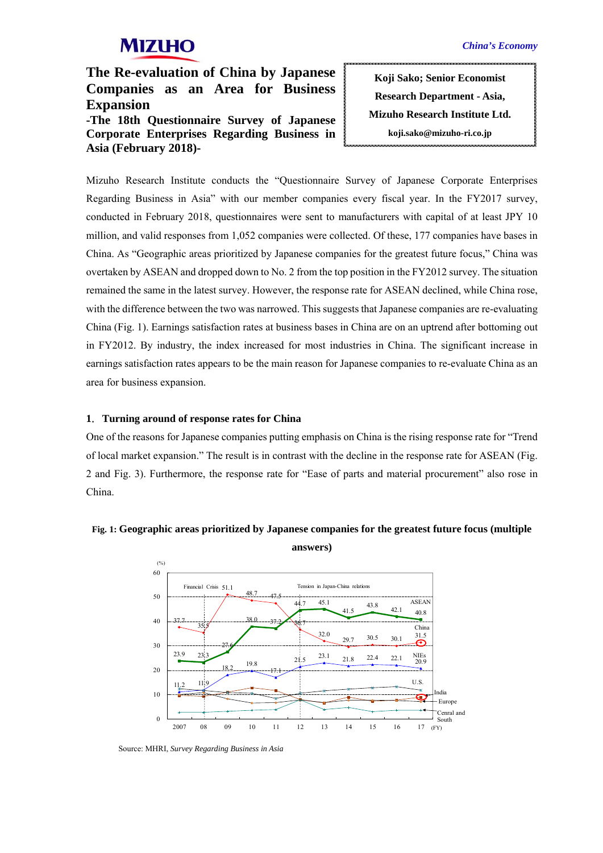**The Re-evaluation of China by Japanese Companies as an Area for Business Expansion -The 18th Questionnaire Survey of Japanese Corporate Enterprises Regarding Business in Asia (February 2018)-** 

**Koji Sako; Senior Economist Research Department - Asia, Mizuho Research Institute Ltd. koji.sako@mizuho-ri.co.jp** 

Mizuho Research Institute conducts the "Questionnaire Survey of Japanese Corporate Enterprises Regarding Business in Asia" with our member companies every fiscal year. In the FY2017 survey, conducted in February 2018, questionnaires were sent to manufacturers with capital of at least JPY 10 million, and valid responses from 1,052 companies were collected. Of these, 177 companies have bases in China. As "Geographic areas prioritized by Japanese companies for the greatest future focus," China was overtaken by ASEAN and dropped down to No. 2 from the top position in the FY2012 survey. The situation remained the same in the latest survey. However, the response rate for ASEAN declined, while China rose, with the difference between the two was narrowed. This suggests that Japanese companies are re-evaluating China (Fig. 1). Earnings satisfaction rates at business bases in China are on an uptrend after bottoming out in FY2012. By industry, the index increased for most industries in China. The significant increase in earnings satisfaction rates appears to be the main reason for Japanese companies to re-evaluate China as an area for business expansion.

### **1**.**Turning around of response rates for China**

One of the reasons for Japanese companies putting emphasis on China is the rising response rate for "Trend of local market expansion." The result is in contrast with the decline in the response rate for ASEAN (Fig. 2 and Fig. 3). Furthermore, the response rate for "Ease of parts and material procurement" also rose in China.



## **Fig. 1: Geographic areas prioritized by Japanese companies for the greatest future focus (multiple answers)**

Source: MHRI, *Survey Regarding Business in Asia*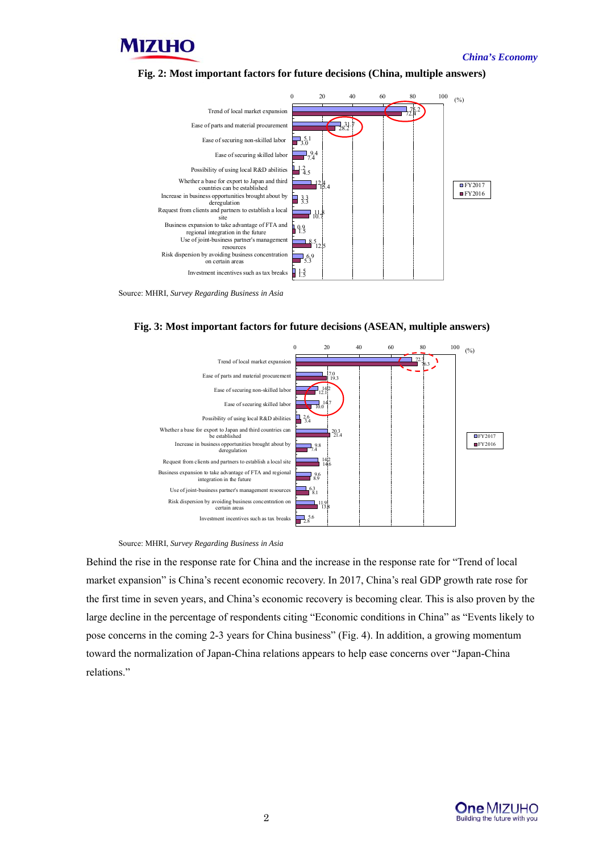

*China's Economy*





Source: MHRI, *Survey Regarding Business in Asia* 





Source: MHRI, *Survey Regarding Business in Asia* 

Behind the rise in the response rate for China and the increase in the response rate for "Trend of local market expansion" is China's recent economic recovery. In 2017, China's real GDP growth rate rose for the first time in seven years, and China's economic recovery is becoming clear. This is also proven by the large decline in the percentage of respondents citing "Economic conditions in China" as "Events likely to pose concerns in the coming 2-3 years for China business" (Fig. 4). In addition, a growing momentum toward the normalization of Japan-China relations appears to help ease concerns over "Japan-China relations."

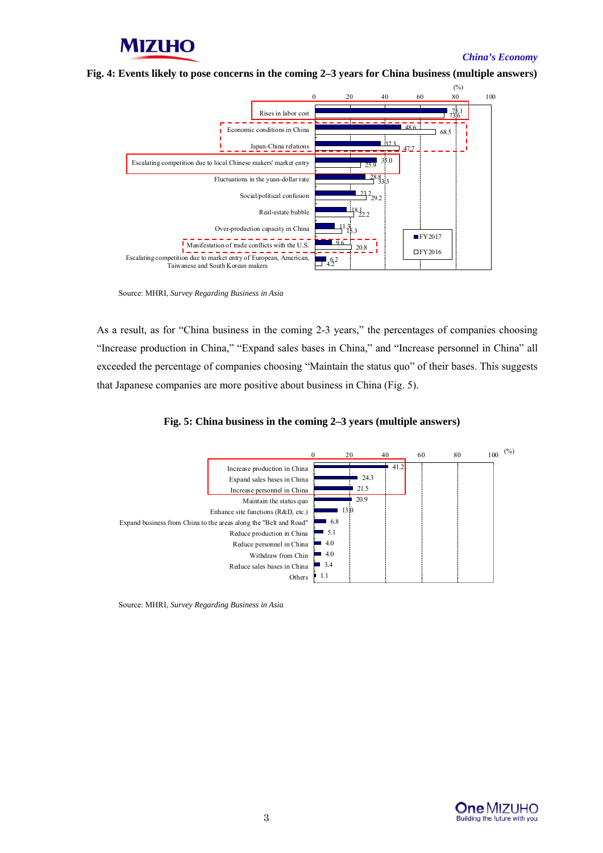### *China's Economy*

**Fig. 4: Events likely to pose concerns in the coming 2–3 years for China business (multiple answers)** 



Source: MHRI, *Survey Regarding Business in Asia* 

As a result, as for "China business in the coming 2-3 years," the percentages of companies choosing "Increase production in China," "Expand sales bases in China," and "Increase personnel in China" all exceeded the percentage of companies choosing "Maintain the status quo" of their bases. This suggests that Japanese companies are more positive about business in China (Fig. 5).





Source: MHRI, *Survey Regarding Business in Asia* 

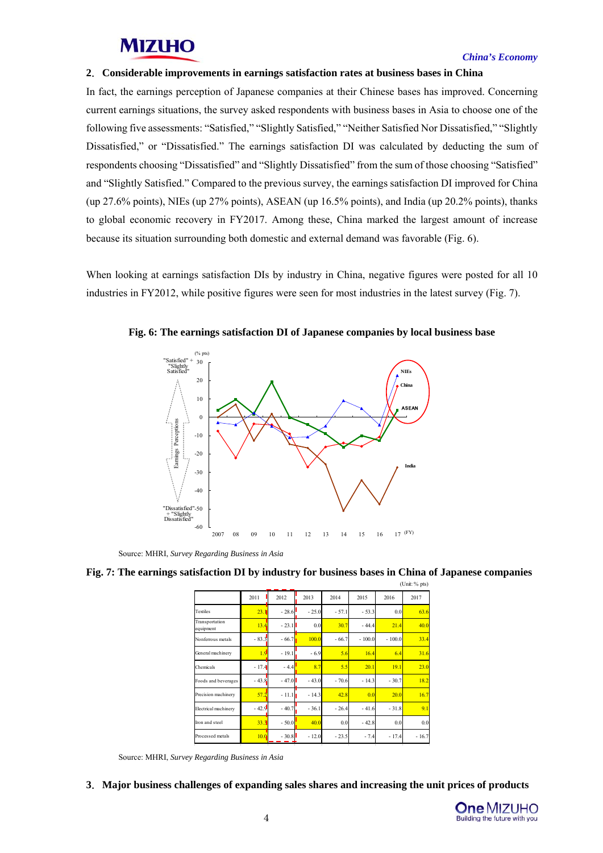### *China's Economy*

### **2**.**Considerable improvements in earnings satisfaction rates at business bases in China**

In fact, the earnings perception of Japanese companies at their Chinese bases has improved. Concerning current earnings situations, the survey asked respondents with business bases in Asia to choose one of the following five assessments: "Satisfied," "Slightly Satisfied," "Neither Satisfied Nor Dissatisfied," "Slightly Dissatisfied," or "Dissatisfied." The earnings satisfaction DI was calculated by deducting the sum of respondents choosing "Dissatisfied" and "Slightly Dissatisfied" from the sum of those choosing "Satisfied" and "Slightly Satisfied." Compared to the previous survey, the earnings satisfaction DI improved for China (up 27.6% points), NIEs (up 27% points), ASEAN (up 16.5% points), and India (up 20.2% points), thanks to global economic recovery in FY2017. Among these, China marked the largest amount of increase because its situation surrounding both domestic and external demand was favorable (Fig. 6).

When looking at earnings satisfaction DIs by industry in China, negative figures were posted for all 10 industries in FY2012, while positive figures were seen for most industries in the latest survey (Fig. 7).



**Fig. 6: The earnings satisfaction DI of Japanese companies by local business base** 

Source: MHRI, *Survey Regarding Business in Asia* 

#### **Fig. 7: The earnings satisfaction DI by industry for business bases in China of Japanese companies**   $(\text{Unit: } %$  nts)

|                             |         |         |         | $\cdots \cdots \cdots$ |          |          |         |
|-----------------------------|---------|---------|---------|------------------------|----------|----------|---------|
|                             | 2011    | 2012    | 2013    | 2014                   | 2015     | 2016     | 2017    |
| Textiles                    | 23.1    | $-28.6$ | $-25.0$ | $-57.1$                | $-53.3$  | 0.0      | 63.6    |
| Transportation<br>equipment | 13.4    | $-23.1$ | 0.0     | 30.7                   | $-44.4$  | 21.4     | 40.0    |
| Nonferrous metals           | $-83.3$ | $-66.7$ | 100.0   | $-66.7$                | $-100.0$ | $-100.0$ | 33.4    |
| General machinery           | 1.9     | $-19.1$ | $-6.9$  | 5.6                    | 16.4     | 6.4      | 31.6    |
| Chemicals                   | $-17.4$ | $-4.4$  | 8.7     | 5.5                    | 20.1     | 19.1     | 23.0    |
| Foods and beverages         | $-43.8$ | $-47.0$ | $-43.0$ | $-70.6$                | $-14.3$  | $-30.7$  | 18.2    |
| Precision machinery         | 57.2    | $-11.1$ | $-14.3$ | 42.8                   | 0.0      | 20.0     | 16.7    |
| Electrical machinery        | $-42.9$ | $-40.7$ | $-36.1$ | $-26.4$                | $-41.6$  | $-31.8$  | 9.1     |
| Iron and steel              | 33.3    | $-50.0$ | 40.0    | 0.0                    | $-42.8$  | 0.0      | 0.0     |
| Processed metals            | 10.0    | $-30.8$ | $-12.0$ | $-23.5$                | $-7.4$   | $-17.4$  | $-16.7$ |
|                             |         |         |         |                        |          |          |         |

Source: MHRI, *Survey Regarding Business in Asia* 

**3**.**Major business challenges of expanding sales shares and increasing the unit prices of products** 

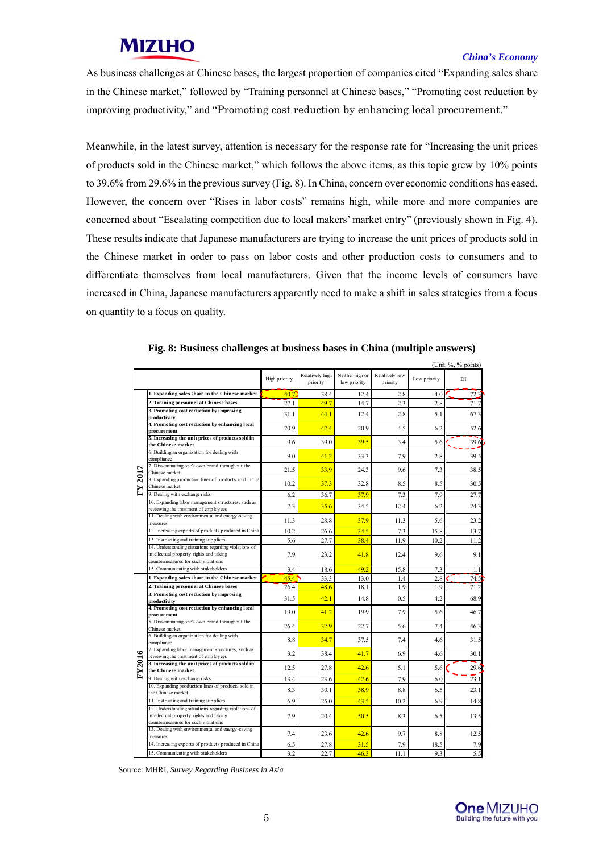## *China's Economy*

As business challenges at Chinese bases, the largest proportion of companies cited "Expanding sales share in the Chinese market," followed by "Training personnel at Chinese bases," "Promoting cost reduction by improving productivity," and "Promoting cost reduction by enhancing local procurement."

Meanwhile, in the latest survey, attention is necessary for the response rate for "Increasing the unit prices of products sold in the Chinese market," which follows the above items, as this topic grew by 10% points to 39.6% from 29.6% in the previous survey (Fig. 8). In China, concern over economic conditions has eased. However, the concern over "Rises in labor costs" remains high, while more and more companies are concerned about "Escalating competition due to local makers' market entry" (previously shown in Fig. 4). These results indicate that Japanese manufacturers are trying to increase the unit prices of products sold in the Chinese market in order to pass on labor costs and other production costs to consumers and to differentiate themselves from local manufacturers. Given that the income levels of consumers have increased in China, Japanese manufacturers apparently need to make a shift in sales strategies from a focus on quantity to a focus on quality.

|         |                                                                                |               |                             |                                 | (Unit: %, % points)        |              |      |
|---------|--------------------------------------------------------------------------------|---------------|-----------------------------|---------------------------------|----------------------------|--------------|------|
|         |                                                                                | High priority | Relatively high<br>priority | Neither high or<br>low priority | Relatively low<br>priority | Low priority | DI   |
|         | 1. Expanding sales share in the Chinese market                                 | 40.7          | 38.4                        | 12.4                            | 2.8                        | 4.0          | 72.3 |
|         | 2. Training personnel at Chinese bases                                         | 27.1          | 49.7                        | 14.7                            | 2.3                        | 2.8          | 71.7 |
|         | 3. Promoting cost reduction by improving                                       |               |                             |                                 |                            |              |      |
|         | productivity                                                                   | 31.1          | 44.1                        | 12.4                            | 28                         | 5.1          | 67.3 |
|         | 4. Promoting cost reduction by enhancing local                                 | 20.9          | 42.4                        | 20.9                            | 4.5                        | 6.2          | 52.6 |
|         | procurement                                                                    |               |                             |                                 |                            |              |      |
|         | 5. Increasing the unit prices of products sold in<br>the Chinese market        | 96            | 390                         | 39.5                            | 34                         | 5.6          | 39.6 |
|         | 6. Building an organization for dealing with                                   |               |                             |                                 |                            |              |      |
|         | compliance                                                                     | 9.0           | 41.2                        | 33.3                            | 7.9                        | 2.8          | 39.5 |
|         | 7. Disseminating one's own brand throughout the                                | 21.5          | 33.9                        | 24.3                            | 9.6                        | 7.3          | 38.5 |
|         | Chinese market                                                                 |               |                             |                                 |                            |              |      |
|         | 8. Expanding production lines of products sold in the<br>Chinese market        | 10.2          | 37.3                        | 32.8                            | 8.5                        | 8.5          | 30.5 |
| FY 2017 | 9. Dealing with exchange risks                                                 |               |                             |                                 |                            |              |      |
|         | 10. Expanding labor management structures, such as                             | 6.2           | 36.7                        | 37.9                            | 7.3                        | 7.9          | 27.7 |
|         | reviewing the treatment of employees                                           | 7.3           | 35.6                        | 34.5                            | 12.4                       | 6.2          | 24.3 |
|         | 11. Dealing with environmental and energy-saving                               |               |                             |                                 |                            |              |      |
|         | measures                                                                       | 11.3          | 28.8                        | 37.9                            | 11.3                       | 5.6          | 23.2 |
| FY2016  | 12. Increasing exports of products produced in China                           | 10.2          | 26.6                        | 34.5                            | 7.3                        | 15.8         | 13.7 |
|         | 13. Instructing and training suppliers                                         | 5.6           | 27.7                        | 38.4                            | 11.9                       | 10.2         | 11.2 |
|         | 14. Understanding situations regarding violations of                           |               |                             |                                 |                            |              |      |
|         | intellectual property rights and taking                                        | 7.9           | 23.2                        | 41.8                            | 12.4                       | 9.6          | 9.1  |
|         | countermeasures for such violations                                            |               |                             |                                 |                            |              |      |
|         | 15. Communicating with stakeholders                                            | 3.4           | 18.6                        | 492                             | 15.8                       | 7.3          | - 11 |
|         | 1. Expanding sales share in the Chinese market                                 | 45.4          | 33.3                        | 13.0                            | 1.4                        | 2.8          | 74.5 |
|         | 2. Training personnel at Chinese bases                                         | 26.4          | 48.6                        | 18.1                            | 1.9                        | 1.9          | 71.2 |
|         | 3. Promoting cost reduction by improving                                       | 31.5          | 42.1                        | 14.8                            | 0.5                        | 4.2          | 68.9 |
|         | productivity<br>4. Promoting cost reduction by enhancing local                 |               |                             |                                 |                            |              |      |
|         | procurement                                                                    | 19.0          | 41.2                        | 199                             | 7.9                        | 5.6          | 46.7 |
|         | 5. Disseminating one's own brand throughout the                                |               |                             |                                 |                            |              |      |
|         | Chinese market                                                                 | 26.4          | 32.9                        | 227                             | 56                         | 7.4          | 46.3 |
|         | 6. Building an organization for dealing with                                   | 8.8           | 34.7                        | 37.5                            | 7.4                        | 4.6          | 31.5 |
|         | compliance<br>7. Expanding labor management structures, such as                |               |                             |                                 |                            |              |      |
|         | reviewing the treatment of employees                                           | 32            | 384                         | 417                             | 69                         | 46           | 30.1 |
|         | 8. Increasing the unit prices of products sold in                              |               |                             |                                 |                            |              |      |
|         | the Chinese market                                                             | 12.5          | 27.8                        | 426                             | 5.1                        | 5.6          | 29.6 |
|         | 9. Dealing with exchange risks                                                 | 13.4          | 23.6                        | 42.6                            | 7.9                        | 6.0          | 23.1 |
|         | 10. Expanding production lines of products sold in                             |               | 30.1                        | 38.9                            | 8.8                        | 6.5          |      |
|         | the Chinese market                                                             | 8.3           |                             |                                 |                            |              | 23.1 |
|         | 11. Instructing and training suppliers                                         | 6.9           | 25.0                        | 43.5                            | 10.2                       | 6.9          | 14.8 |
|         | 12. Understanding situations regarding violations of                           |               |                             |                                 |                            |              |      |
|         | intellectual property rights and taking<br>countermeasures for such violations | 7.9           | 20.4                        | 50.5                            | 8.3                        | 6.5          | 13.5 |
|         | 13. Dealing with environmental and energy-saving                               |               |                             |                                 |                            |              |      |
|         | measures                                                                       | 7.4           | 23.6                        | 426                             | 97                         | 88           | 12.5 |
|         | 14. Increasing exports of products produced in China                           | 6.5           | 27.8                        | 31.5                            | 7.9                        | 18.5         | 7.9  |
|         | 15. Communicating with stakeholders                                            | 3.2           | 22.7                        | 46.3                            | 11.1                       | 9.3          | 5.5  |
|         |                                                                                |               |                             |                                 |                            |              |      |

| Fig. 8: Business challenges at business bases in China (multiple answers) |  |
|---------------------------------------------------------------------------|--|
|                                                                           |  |
|                                                                           |  |
|                                                                           |  |

Source: MHRI, *Survey Regarding Business in Asia* 

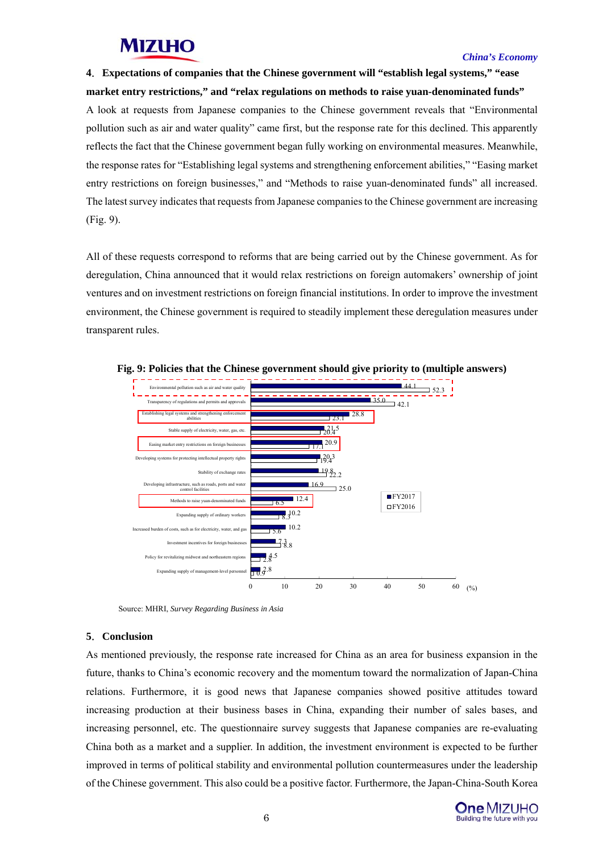### *China's Economy*

## **4**.**Expectations of companies that the Chinese government will "establish legal systems," "ease market entry restrictions," and "relax regulations on methods to raise yuan-denominated funds"**

A look at requests from Japanese companies to the Chinese government reveals that "Environmental pollution such as air and water quality" came first, but the response rate for this declined. This apparently reflects the fact that the Chinese government began fully working on environmental measures. Meanwhile, the response rates for "Establishing legal systems and strengthening enforcement abilities," "Easing market entry restrictions on foreign businesses," and "Methods to raise yuan-denominated funds" all increased. The latest survey indicates that requests from Japanese companies to the Chinese government are increasing (Fig. 9).

All of these requests correspond to reforms that are being carried out by the Chinese government. As for deregulation, China announced that it would relax restrictions on foreign automakers' ownership of joint ventures and on investment restrictions on foreign financial institutions. In order to improve the investment environment, the Chinese government is required to steadily implement these deregulation measures under transparent rules.



**Fig. 9: Policies that the Chinese government should give priority to (multiple answers)** 

Source: MHRI, *Survey Regarding Business in Asia* 

## **5**.**Conclusion**

As mentioned previously, the response rate increased for China as an area for business expansion in the future, thanks to China's economic recovery and the momentum toward the normalization of Japan-China relations. Furthermore, it is good news that Japanese companies showed positive attitudes toward increasing production at their business bases in China, expanding their number of sales bases, and increasing personnel, etc. The questionnaire survey suggests that Japanese companies are re-evaluating China both as a market and a supplier. In addition, the investment environment is expected to be further improved in terms of political stability and environmental pollution countermeasures under the leadership of the Chinese government. This also could be a positive factor. Furthermore, the Japan-China-South Korea

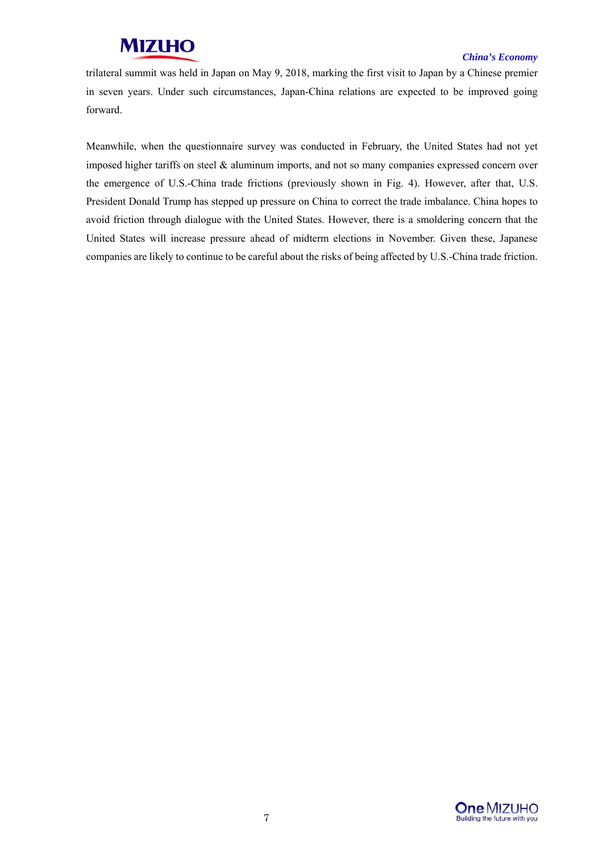## *China's Economy*

trilateral summit was held in Japan on May 9, 2018, marking the first visit to Japan by a Chinese premier in seven years. Under such circumstances, Japan-China relations are expected to be improved going forward.

Meanwhile, when the questionnaire survey was conducted in February, the United States had not yet imposed higher tariffs on steel & aluminum imports, and not so many companies expressed concern over the emergence of U.S.-China trade frictions (previously shown in Fig. 4). However, after that, U.S. President Donald Trump has stepped up pressure on China to correct the trade imbalance. China hopes to avoid friction through dialogue with the United States. However, there is a smoldering concern that the United States will increase pressure ahead of midterm elections in November. Given these, Japanese companies are likely to continue to be careful about the risks of being affected by U.S.-China trade friction.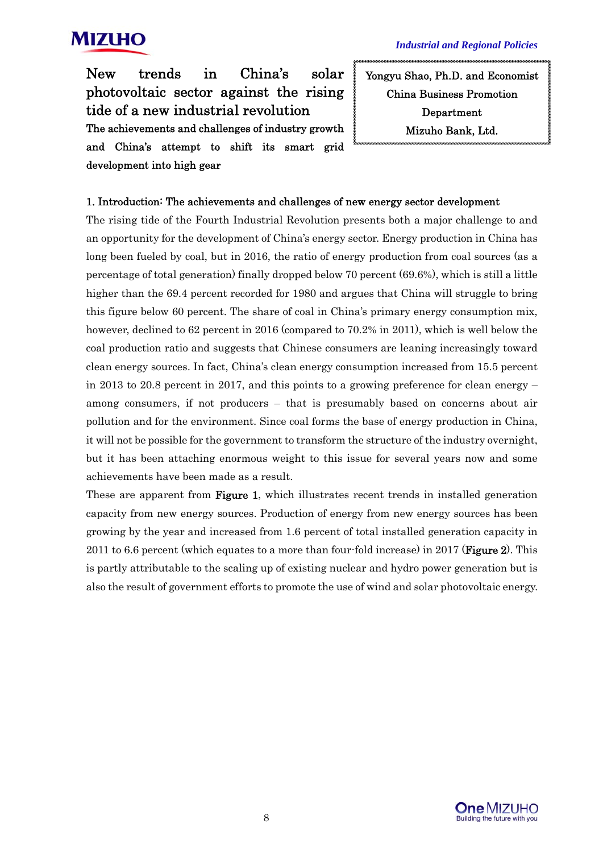

New trends in China's solar photovoltaic sector against the rising tide of a new industrial revolution The achievements and challenges of industry growth and China's attempt to shift its smart grid development into high gear

Yongyu Shao, Ph.D. and Economist China Business Promotion Department Mizuho Bank, Ltd.

## 1. Introduction: The achievements and challenges of new energy sector development

The rising tide of the Fourth Industrial Revolution presents both a major challenge to and an opportunity for the development of China's energy sector. Energy production in China has long been fueled by coal, but in 2016, the ratio of energy production from coal sources (as a percentage of total generation) finally dropped below 70 percent (69.6%), which is still a little higher than the 69.4 percent recorded for 1980 and argues that China will struggle to bring this figure below 60 percent. The share of coal in China's primary energy consumption mix, however, declined to 62 percent in 2016 (compared to 70.2% in 2011), which is well below the coal production ratio and suggests that Chinese consumers are leaning increasingly toward clean energy sources. In fact, China's clean energy consumption increased from 15.5 percent in 2013 to 20.8 percent in 2017, and this points to a growing preference for clean energy – among consumers, if not producers – that is presumably based on concerns about air pollution and for the environment. Since coal forms the base of energy production in China, it will not be possible for the government to transform the structure of the industry overnight, but it has been attaching enormous weight to this issue for several years now and some achievements have been made as a result.

These are apparent from **Figure 1**, which illustrates recent trends in installed generation capacity from new energy sources. Production of energy from new energy sources has been growing by the year and increased from 1.6 percent of total installed generation capacity in 2011 to 6.6 percent (which equates to a more than four-fold increase) in 2017 (**Figure 2**). This is partly attributable to the scaling up of existing nuclear and hydro power generation but is also the result of government efforts to promote the use of wind and solar photovoltaic energy.

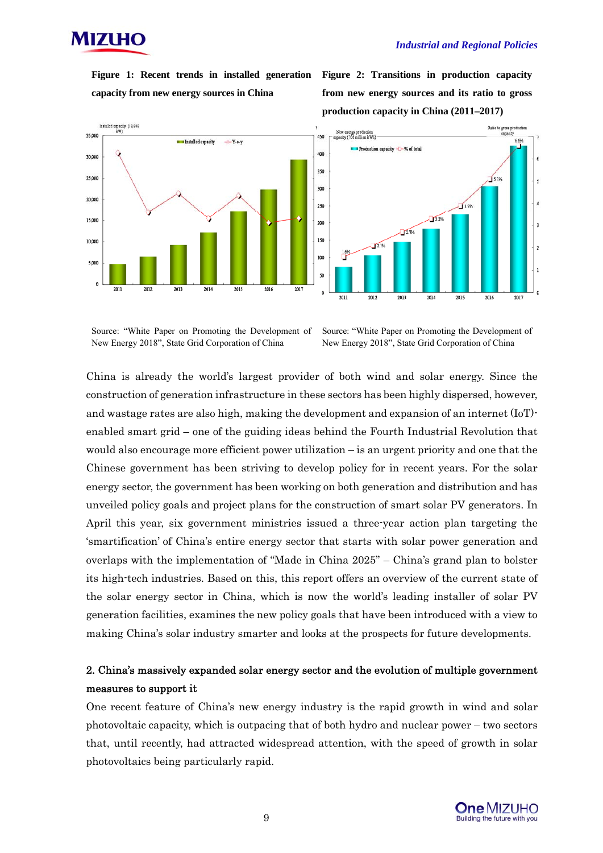

**Figure 1: Recent trends in installed generation capacity from new energy sources in China** 

**Figure 2: Transitions in production capacity from new energy sources and its ratio to gross production capacity in China (2011–2017)** 



Source: "White Paper on Promoting the Development of New Energy 2018", State Grid Corporation of China

Source: "White Paper on Promoting the Development of New Energy 2018", State Grid Corporation of China

China is already the world's largest provider of both wind and solar energy. Since the construction of generation infrastructure in these sectors has been highly dispersed, however, and wastage rates are also high, making the development and expansion of an internet (IoT) enabled smart grid – one of the guiding ideas behind the Fourth Industrial Revolution that would also encourage more efficient power utilization – is an urgent priority and one that the Chinese government has been striving to develop policy for in recent years. For the solar energy sector, the government has been working on both generation and distribution and has unveiled policy goals and project plans for the construction of smart solar PV generators. In April this year, six government ministries issued a three-year action plan targeting the 'smartification' of China's entire energy sector that starts with solar power generation and overlaps with the implementation of "Made in China 2025" – China's grand plan to bolster its high-tech industries. Based on this, this report offers an overview of the current state of the solar energy sector in China, which is now the world's leading installer of solar PV generation facilities, examines the new policy goals that have been introduced with a view to making China's solar industry smarter and looks at the prospects for future developments.

## 2. China's massively expanded solar energy sector and the evolution of multiple government measures to support it

One recent feature of China's new energy industry is the rapid growth in wind and solar photovoltaic capacity, which is outpacing that of both hydro and nuclear power – two sectors that, until recently, had attracted widespread attention, with the speed of growth in solar photovoltaics being particularly rapid.

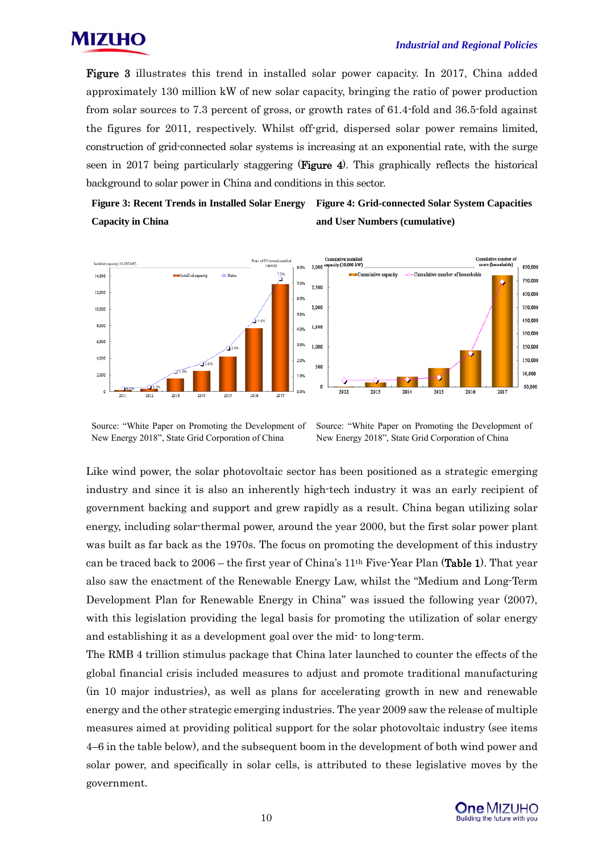

Figure 3 illustrates this trend in installed solar power capacity. In 2017, China added approximately 130 million kW of new solar capacity, bringing the ratio of power production from solar sources to 7.3 percent of gross, or growth rates of 61.4-fold and 36.5-fold against the figures for 2011, respectively. Whilst off-grid, dispersed solar power remains limited, construction of grid-connected solar systems is increasing at an exponential rate, with the surge seen in 2017 being particularly staggering (**Figure 4**). This graphically reflects the historical background to solar power in China and conditions in this sector.

**Figure 3: Recent Trends in Installed Solar Energy Capacity in China Figure 4: Grid-connected Solar System Capacities and User Numbers (cumulative)** 



Source: "White Paper on Promoting the Development of New Energy 2018", State Grid Corporation of China

Source: "White Paper on Promoting the Development of New Energy 2018", State Grid Corporation of China

Like wind power, the solar photovoltaic sector has been positioned as a strategic emerging industry and since it is also an inherently high-tech industry it was an early recipient of government backing and support and grew rapidly as a result. China began utilizing solar energy, including solar-thermal power, around the year 2000, but the first solar power plant was built as far back as the 1970s. The focus on promoting the development of this industry can be traced back to  $2006$  – the first year of China's  $11<sup>th</sup>$  Five-Year Plan (Table 1). That year also saw the enactment of the Renewable Energy Law, whilst the "Medium and Long-Term Development Plan for Renewable Energy in China" was issued the following year (2007), with this legislation providing the legal basis for promoting the utilization of solar energy and establishing it as a development goal over the mid- to long-term.

The RMB 4 trillion stimulus package that China later launched to counter the effects of the global financial crisis included measures to adjust and promote traditional manufacturing (in 10 major industries), as well as plans for accelerating growth in new and renewable energy and the other strategic emerging industries. The year 2009 saw the release of multiple measures aimed at providing political support for the solar photovoltaic industry (see items 4–6 in the table below), and the subsequent boom in the development of both wind power and solar power, and specifically in solar cells, is attributed to these legislative moves by the government.

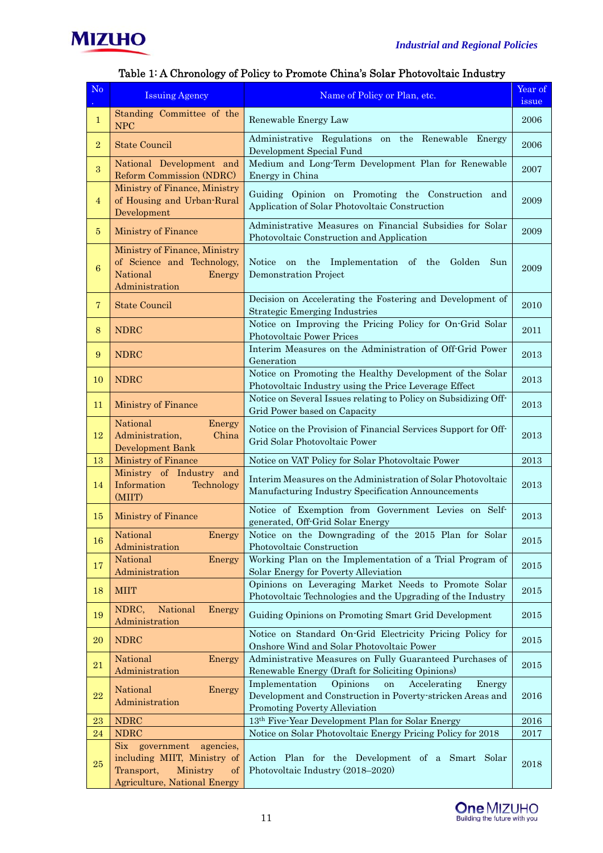

| No             | <b>Issuing Agency</b>                                                                               | Name of Policy or Plan, etc.                                                                                                                              | Year of<br>issue |
|----------------|-----------------------------------------------------------------------------------------------------|-----------------------------------------------------------------------------------------------------------------------------------------------------------|------------------|
| $\mathbf{1}$   | Standing Committee of the<br><b>NPC</b>                                                             | Renewable Energy Law                                                                                                                                      | 2006             |
| $\overline{2}$ | <b>State Council</b>                                                                                | Administrative Regulations on the Renewable Energy<br>Development Special Fund                                                                            | 2006             |
| 3              | National Development and<br>Reform Commission (NDRC)                                                | Medium and Long-Term Development Plan for Renewable<br>Energy in China                                                                                    | 2007             |
| $\overline{4}$ | Ministry of Finance, Ministry<br>of Housing and Urban-Rural<br>Development                          | Guiding Opinion on Promoting the Construction and<br>Application of Solar Photovoltaic Construction                                                       | 2009             |
| 5              | Ministry of Finance                                                                                 | Administrative Measures on Financial Subsidies for Solar<br>Photovoltaic Construction and Application                                                     | 2009             |
| 6              | Ministry of Finance, Ministry<br>of Science and Technology,<br>National<br>Energy<br>Administration | on the Implementation of the Golden Sun<br>Notice<br><b>Demonstration Project</b>                                                                         | 2009             |
| $\overline{7}$ | <b>State Council</b>                                                                                | Decision on Accelerating the Fostering and Development of<br><b>Strategic Emerging Industries</b>                                                         | 2010             |
| 8              | <b>NDRC</b>                                                                                         | Notice on Improving the Pricing Policy for On-Grid Solar<br>Photovoltaic Power Prices                                                                     | 2011             |
| 9              | <b>NDRC</b>                                                                                         | Interim Measures on the Administration of Off-Grid Power<br>Generation                                                                                    | 2013             |
| 10             | <b>NDRC</b>                                                                                         | Notice on Promoting the Healthy Development of the Solar<br>Photovoltaic Industry using the Price Leverage Effect                                         | 2013             |
| 11             | <b>Ministry of Finance</b>                                                                          | Notice on Several Issues relating to Policy on Subsidizing Off-<br>Grid Power based on Capacity                                                           | 2013             |
| 12             | National<br>Energy<br>Administration,<br>China<br>Development Bank                                  | Notice on the Provision of Financial Services Support for Off-<br>Grid Solar Photovoltaic Power                                                           | 2013             |
| 13             | Ministry of Finance                                                                                 | Notice on VAT Policy for Solar Photovoltaic Power                                                                                                         | 2013             |
| 14             | Ministry of Industry and<br>Information<br>Technology<br>(MIIT)                                     | Interim Measures on the Administration of Solar Photovoltaic<br>Manufacturing Industry Specification Announcements                                        | 2013             |
| 15             | Ministry of Finance                                                                                 | Notice of Exemption from Government Levies on Self-<br>generated, Off-Grid Solar Energy                                                                   | 2013             |
| 16             | National<br>Administration                                                                          | Energy Notice on the Downgrading of the 2015 Plan for Solar<br>Photovoltaic Construction                                                                  | 2015             |
| $17\,$         | National<br>Energy<br>Administration                                                                | Working Plan on the Implementation of a Trial Program of<br>Solar Energy for Poverty Alleviation                                                          | 2015             |
| 18             | <b>MIIT</b>                                                                                         | Opinions on Leveraging Market Needs to Promote Solar<br>Photovoltaic Technologies and the Upgrading of the Industry                                       | $\,2015$         |
| 19             | NDRC,<br>National<br>Energy<br>Administration                                                       | Guiding Opinions on Promoting Smart Grid Development                                                                                                      | 2015             |
| 20             | <b>NDRC</b>                                                                                         | Notice on Standard On-Grid Electricity Pricing Policy for<br>Onshore Wind and Solar Photovoltaic Power                                                    | 2015             |
| $\bf{21}$      | National<br>Energy<br>Administration                                                                | Administrative Measures on Fully Guaranteed Purchases of<br>Renewable Energy (Draft for Soliciting Opinions)                                              | 2015             |
| 22             | National<br>Energy<br>Administration                                                                | Implementation<br>Opinions<br>Accelerating<br>Energy<br>on<br>Development and Construction in Poverty-stricken Areas and<br>Promoting Poverty Alleviation | 2016             |
| 23             | <b>NDRC</b>                                                                                         | 13th Five-Year Development Plan for Solar Energy                                                                                                          | 2016             |
| 24             | <b>NDRC</b><br>$\rm {Six}$<br>government<br>agencies,                                               | Notice on Solar Photovoltaic Energy Pricing Policy for 2018                                                                                               | 2017             |
| $\bf 25$       | including MIIT, Ministry of<br>Transport,<br>Ministry<br>of<br><b>Agriculture, National Energy</b>  | Action Plan for the Development of a Smart Solar<br>Photovoltaic Industry (2018-2020)                                                                     | 2018             |

## Table 1: A Chronology of Policy to Promote China's Solar Photovoltaic Industry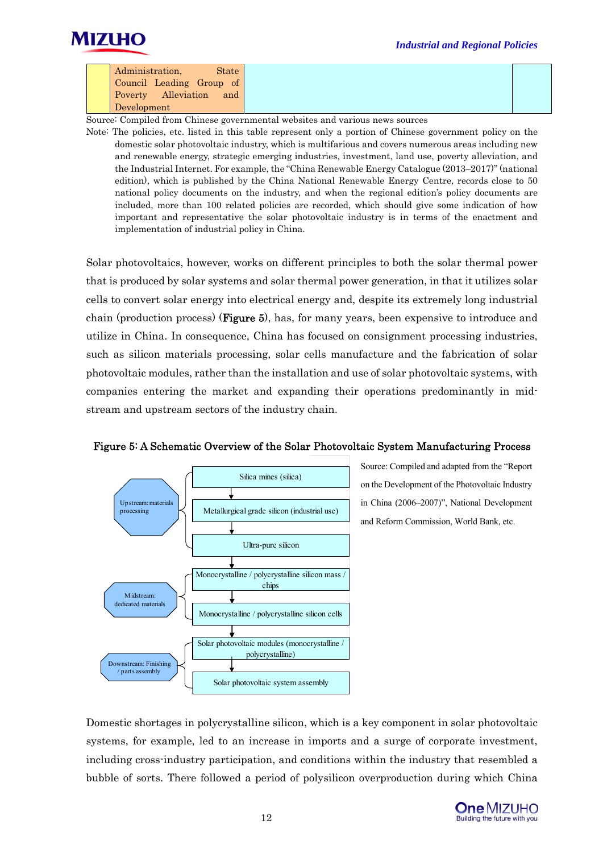



| Administration,<br>State   |
|----------------------------|
| Council Leading Group of   |
| Poverty Alleviation<br>and |
| Development                |

Source: Compiled from Chinese governmental websites and various news sources

Note: The policies, etc. listed in this table represent only a portion of Chinese government policy on the domestic solar photovoltaic industry, which is multifarious and covers numerous areas including new and renewable energy, strategic emerging industries, investment, land use, poverty alleviation, and the Industrial Internet. For example, the "China Renewable Energy Catalogue (2013–2017)" (national edition), which is published by the China National Renewable Energy Centre, records close to 50 national policy documents on the industry, and when the regional edition's policy documents are included, more than 100 related policies are recorded, which should give some indication of how important and representative the solar photovoltaic industry is in terms of the enactment and implementation of industrial policy in China.

Solar photovoltaics, however, works on different principles to both the solar thermal power that is produced by solar systems and solar thermal power generation, in that it utilizes solar cells to convert solar energy into electrical energy and, despite its extremely long industrial chain (production process) (**Figure 5**), has, for many years, been expensive to introduce and utilize in China. In consequence, China has focused on consignment processing industries, such as silicon materials processing, solar cells manufacture and the fabrication of solar photovoltaic modules, rather than the installation and use of solar photovoltaic systems, with companies entering the market and expanding their operations predominantly in midstream and upstream sectors of the industry chain.



## Figure 5: A Schematic Overview of the Solar Photovoltaic System Manufacturing Process

Source: Compiled and adapted from the "Report on the Development of the Photovoltaic Industry in China (2006–2007)", National Development and Reform Commission, World Bank, etc.

Domestic shortages in polycrystalline silicon, which is a key component in solar photovoltaic systems, for example, led to an increase in imports and a surge of corporate investment, including cross-industry participation, and conditions within the industry that resembled a bubble of sorts. There followed a period of polysilicon overproduction during which China

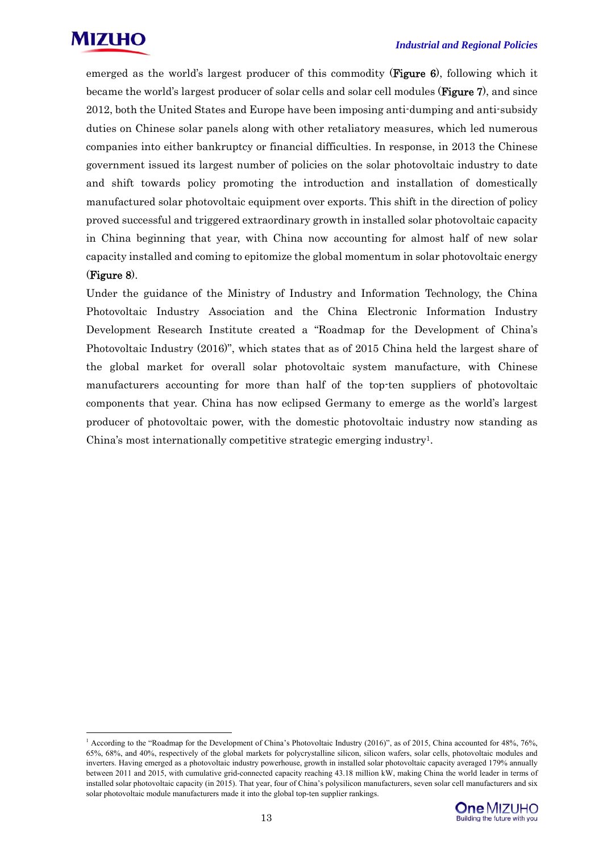

-

emerged as the world's largest producer of this commodity (**Figure 6**), following which it became the world's largest producer of solar cells and solar cell modules (**Figure 7**), and since 2012, both the United States and Europe have been imposing anti-dumping and anti-subsidy duties on Chinese solar panels along with other retaliatory measures, which led numerous companies into either bankruptcy or financial difficulties. In response, in 2013 the Chinese government issued its largest number of policies on the solar photovoltaic industry to date and shift towards policy promoting the introduction and installation of domestically manufactured solar photovoltaic equipment over exports. This shift in the direction of policy proved successful and triggered extraordinary growth in installed solar photovoltaic capacity in China beginning that year, with China now accounting for almost half of new solar capacity installed and coming to epitomize the global momentum in solar photovoltaic energy (Figure 8).

Under the guidance of the Ministry of Industry and Information Technology, the China Photovoltaic Industry Association and the China Electronic Information Industry Development Research Institute created a "Roadmap for the Development of China's Photovoltaic Industry (2016)", which states that as of 2015 China held the largest share of the global market for overall solar photovoltaic system manufacture, with Chinese manufacturers accounting for more than half of the top-ten suppliers of photovoltaic components that year. China has now eclipsed Germany to emerge as the world's largest producer of photovoltaic power, with the domestic photovoltaic industry now standing as China's most internationally competitive strategic emerging industry1.

<sup>&</sup>lt;sup>1</sup> According to the "Roadmap for the Development of China's Photovoltaic Industry (2016)", as of 2015, China accounted for 48%, 76%, 65%, 68%, and 40%, respectively of the global markets for polycrystalline silicon, silicon wafers, solar cells, photovoltaic modules and inverters. Having emerged as a photovoltaic industry powerhouse, growth in installed solar photovoltaic capacity averaged 179% annually between 2011 and 2015, with cumulative grid-connected capacity reaching 43.18 million kW, making China the world leader in terms of installed solar photovoltaic capacity (in 2015). That year, four of China's polysilicon manufacturers, seven solar cell manufacturers and six solar photovoltaic module manufacturers made it into the global top-ten supplier rankings.

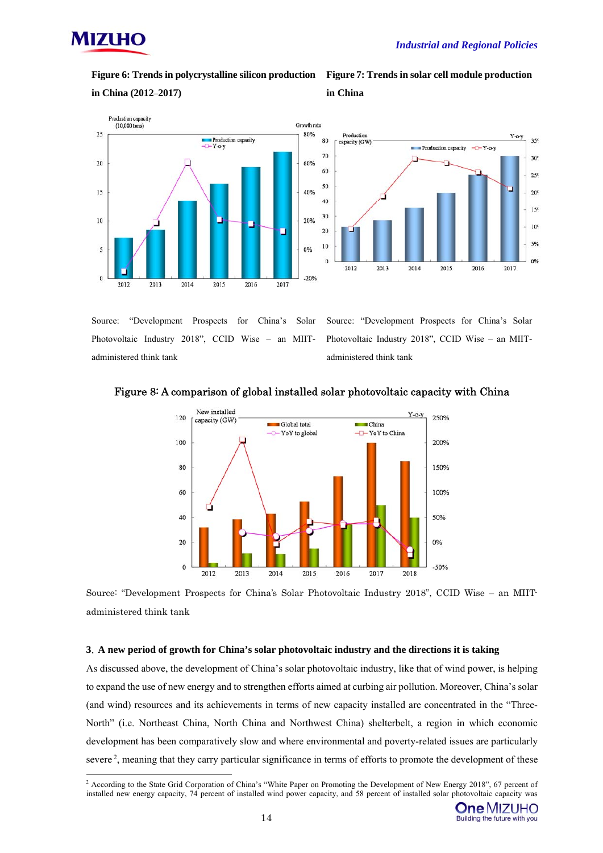

**Figure 6: Trends in polycrystalline silicon production** 

**in China (2012**–**2017)** 









Source: "Development Prospects for China's Solar Photovoltaic Industry 2018", CCID Wise – an MIITadministered think tank

Source: "Development Prospects for China's Solar Photovoltaic Industry 2018", CCID Wise – an MIITadministered think tank



## Figure 8: A comparison of global installed solar photovoltaic capacity with China

Source: "Development Prospects for China's Solar Photovoltaic Industry 2018", CCID Wise – an MIITadministered think tank

### **3**.**A new period of growth for China's solar photovoltaic industry and the directions it is taking**

As discussed above, the development of China's solar photovoltaic industry, like that of wind power, is helping to expand the use of new energy and to strengthen efforts aimed at curbing air pollution. Moreover, China's solar (and wind) resources and its achievements in terms of new capacity installed are concentrated in the "Three-North" (i.e. Northeast China, North China and Northwest China) shelterbelt, a region in which economic development has been comparatively slow and where environmental and poverty-related issues are particularly severe<sup>2</sup>, meaning that they carry particular significance in terms of efforts to promote the development of these

 2 According to the State Grid Corporation of China's "White Paper on Promoting the Development of New Energy 2018", 67 percent of installed new energy capacity, 74 percent of installed wind power capacity, and 58 percent of installed solar photovoltaic capacity was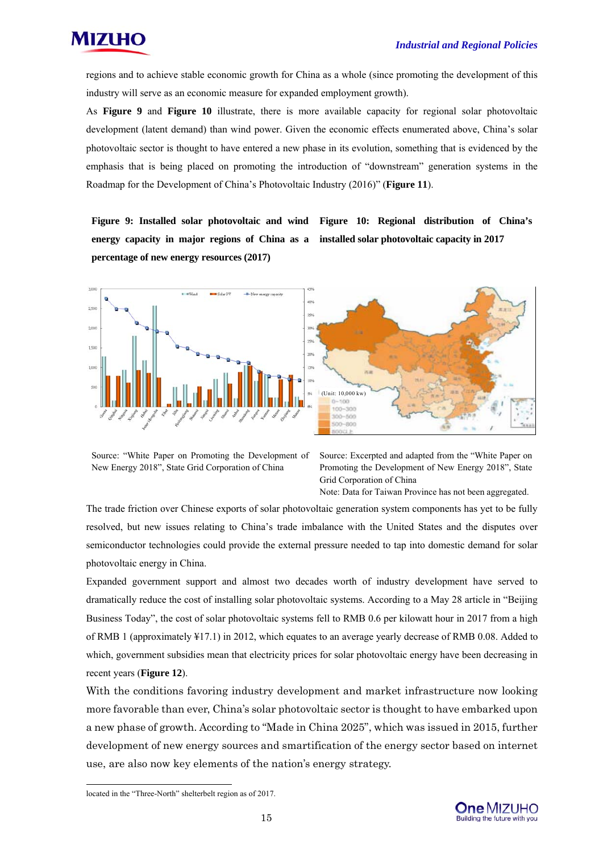

regions and to achieve stable economic growth for China as a whole (since promoting the development of this industry will serve as an economic measure for expanded employment growth).

As **Figure 9** and **Figure 10** illustrate, there is more available capacity for regional solar photovoltaic development (latent demand) than wind power. Given the economic effects enumerated above, China's solar photovoltaic sector is thought to have entered a new phase in its evolution, something that is evidenced by the emphasis that is being placed on promoting the introduction of "downstream" generation systems in the Roadmap for the Development of China's Photovoltaic Industry (2016)" (**Figure 11**).

**Figure 9: Installed solar photovoltaic and wind Figure 10: Regional distribution of China's energy capacity in major regions of China as a installed solar photovoltaic capacity in 2017 percentage of new energy resources (2017)** 





Source: "White Paper on Promoting the Development of New Energy 2018", State Grid Corporation of China

Source: Excerpted and adapted from the "White Paper on Promoting the Development of New Energy 2018", State Grid Corporation of China

Note: Data for Taiwan Province has not been aggregated.

The trade friction over Chinese exports of solar photovoltaic generation system components has yet to be fully resolved, but new issues relating to China's trade imbalance with the United States and the disputes over semiconductor technologies could provide the external pressure needed to tap into domestic demand for solar photovoltaic energy in China.

Expanded government support and almost two decades worth of industry development have served to dramatically reduce the cost of installing solar photovoltaic systems. According to a May 28 article in "Beijing Business Today", the cost of solar photovoltaic systems fell to RMB 0.6 per kilowatt hour in 2017 from a high of RMB 1 (approximately ¥17.1) in 2012, which equates to an average yearly decrease of RMB 0.08. Added to which, government subsidies mean that electricity prices for solar photovoltaic energy have been decreasing in recent years (**Figure 12**).

With the conditions favoring industry development and market infrastructure now looking more favorable than ever, China's solar photovoltaic sector is thought to have embarked upon a new phase of growth. According to "Made in China 2025", which was issued in 2015, further development of new energy sources and smartification of the energy sector based on internet use, are also now key elements of the nation's energy strategy.

-



located in the "Three-North" shelterbelt region as of 2017.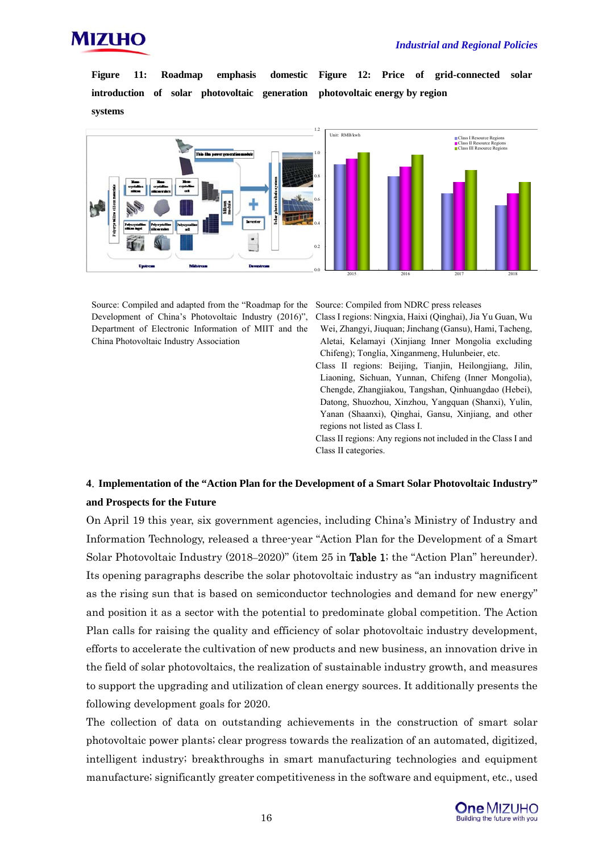

**Figure 11: Roadmap emphasis domestic introduction of solar photovoltaic generation systems** 

**Figure 12: Price of grid-connected solar photovoltaic energy by region** 



Source: Compiled and adapted from the "Roadmap for the Development of China's Photovoltaic Industry (2016)", Department of Electronic Information of MIIT and the China Photovoltaic Industry Association

Source: Compiled from NDRC press releases

- Class I regions: Ningxia, Haixi (Qinghai), Jia Yu Guan, Wu Wei, Zhangyi, Jiuquan; Jinchang (Gansu), Hami, Tacheng, Aletai, Kelamayi (Xinjiang Inner Mongolia excluding Chifeng); Tonglia, Xinganmeng, Hulunbeier, etc.
- Class II regions: Beijing, Tianjin, Heilongjiang, Jilin, Liaoning, Sichuan, Yunnan, Chifeng (Inner Mongolia), Chengde, Zhangjiakou, Tangshan, Qinhuangdao (Hebei), Datong, Shuozhou, Xinzhou, Yangquan (Shanxi), Yulin, Yanan (Shaanxi), Qinghai, Gansu, Xinjiang, and other regions not listed as Class I.

Class II regions: Any regions not included in the Class I and Class II categories.

## **4**.**Implementation of the "Action Plan for the Development of a Smart Solar Photovoltaic Industry" and Prospects for the Future**

On April 19 this year, six government agencies, including China's Ministry of Industry and Information Technology, released a three-year "Action Plan for the Development of a Smart Solar Photovoltaic Industry (2018–2020)" (item 25 in Table 1; the "Action Plan" hereunder). Its opening paragraphs describe the solar photovoltaic industry as "an industry magnificent as the rising sun that is based on semiconductor technologies and demand for new energy" and position it as a sector with the potential to predominate global competition. The Action Plan calls for raising the quality and efficiency of solar photovoltaic industry development, efforts to accelerate the cultivation of new products and new business, an innovation drive in the field of solar photovoltaics, the realization of sustainable industry growth, and measures to support the upgrading and utilization of clean energy sources. It additionally presents the following development goals for 2020.

The collection of data on outstanding achievements in the construction of smart solar photovoltaic power plants; clear progress towards the realization of an automated, digitized, intelligent industry; breakthroughs in smart manufacturing technologies and equipment manufacture; significantly greater competitiveness in the software and equipment, etc., used

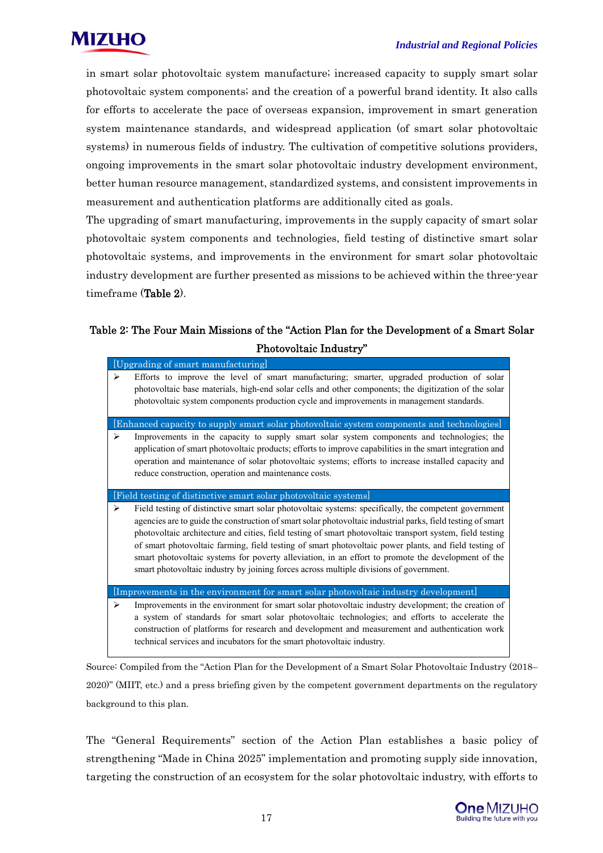

in smart solar photovoltaic system manufacture; increased capacity to supply smart solar photovoltaic system components; and the creation of a powerful brand identity. It also calls for efforts to accelerate the pace of overseas expansion, improvement in smart generation system maintenance standards, and widespread application (of smart solar photovoltaic systems) in numerous fields of industry. The cultivation of competitive solutions providers, ongoing improvements in the smart solar photovoltaic industry development environment, better human resource management, standardized systems, and consistent improvements in measurement and authentication platforms are additionally cited as goals.

The upgrading of smart manufacturing, improvements in the supply capacity of smart solar photovoltaic system components and technologies, field testing of distinctive smart solar photovoltaic systems, and improvements in the environment for smart solar photovoltaic industry development are further presented as missions to be achieved within the three-year timeframe (Table 2).

## Table 2: The Four Main Missions of the "Action Plan for the Development of a Smart Solar Photovoltaic Industry"

|   | [Upgrading of smart manufacturing]                                                                                                                                                                                                                                                                                                                                                                                                                                                                                                                                                                                                         |
|---|--------------------------------------------------------------------------------------------------------------------------------------------------------------------------------------------------------------------------------------------------------------------------------------------------------------------------------------------------------------------------------------------------------------------------------------------------------------------------------------------------------------------------------------------------------------------------------------------------------------------------------------------|
| ⋗ | Efforts to improve the level of smart manufacturing; smarter, upgraded production of solar<br>photovoltaic base materials, high-end solar cells and other components; the digitization of the solar<br>photovoltaic system components production cycle and improvements in management standards.                                                                                                                                                                                                                                                                                                                                           |
|   | [Enhanced capacity to supply smart solar photovoltaic system components and technologies]                                                                                                                                                                                                                                                                                                                                                                                                                                                                                                                                                  |
| ➤ | Improvements in the capacity to supply smart solar system components and technologies; the<br>application of smart photovoltaic products; efforts to improve capabilities in the smart integration and<br>operation and maintenance of solar photovoltaic systems; efforts to increase installed capacity and<br>reduce construction, operation and maintenance costs.                                                                                                                                                                                                                                                                     |
|   | [Field testing of distinctive smart solar photovoltaic systems]                                                                                                                                                                                                                                                                                                                                                                                                                                                                                                                                                                            |
| ➤ | Field testing of distinctive smart solar photovoltaic systems: specifically, the competent government<br>agencies are to guide the construction of smart solar photovoltaic industrial parks, field testing of smart<br>photovoltaic architecture and cities, field testing of smart photovoltaic transport system, field testing<br>of smart photovoltaic farming, field testing of smart photovoltaic power plants, and field testing of<br>smart photovoltaic systems for poverty alleviation, in an effort to promote the development of the<br>smart photovoltaic industry by joining forces across multiple divisions of government. |
|   | [Improvements in the environment for smart solar photovoltaic industry development]                                                                                                                                                                                                                                                                                                                                                                                                                                                                                                                                                        |
| ⋗ | Improvements in the environment for smart solar photovoltaic industry development; the creation of<br>a system of standards for smart solar photovoltaic technologies; and efforts to accelerate the<br>construction of platforms for research and development and measurement and authentication work<br>technical services and incubators for the smart photovoltaic industry.                                                                                                                                                                                                                                                           |

Source: Compiled from the "Action Plan for the Development of a Smart Solar Photovoltaic Industry (2018– 2020)" (MIIT, etc.) and a press briefing given by the competent government departments on the regulatory background to this plan.

The "General Requirements" section of the Action Plan establishes a basic policy of strengthening "Made in China 2025" implementation and promoting supply side innovation, targeting the construction of an ecosystem for the solar photovoltaic industry, with efforts to

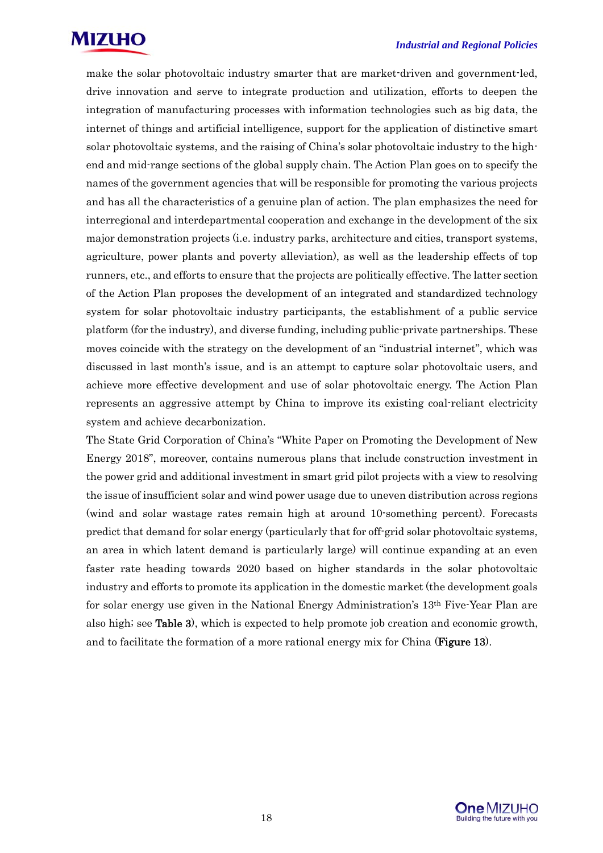

make the solar photovoltaic industry smarter that are market-driven and government-led, drive innovation and serve to integrate production and utilization, efforts to deepen the integration of manufacturing processes with information technologies such as big data, the internet of things and artificial intelligence, support for the application of distinctive smart solar photovoltaic systems, and the raising of China's solar photovoltaic industry to the highend and mid-range sections of the global supply chain. The Action Plan goes on to specify the names of the government agencies that will be responsible for promoting the various projects and has all the characteristics of a genuine plan of action. The plan emphasizes the need for interregional and interdepartmental cooperation and exchange in the development of the six major demonstration projects (i.e. industry parks, architecture and cities, transport systems, agriculture, power plants and poverty alleviation), as well as the leadership effects of top runners, etc., and efforts to ensure that the projects are politically effective. The latter section of the Action Plan proposes the development of an integrated and standardized technology system for solar photovoltaic industry participants, the establishment of a public service platform (for the industry), and diverse funding, including public-private partnerships. These moves coincide with the strategy on the development of an "industrial internet", which was discussed in last month's issue, and is an attempt to capture solar photovoltaic users, and achieve more effective development and use of solar photovoltaic energy. The Action Plan represents an aggressive attempt by China to improve its existing coal-reliant electricity system and achieve decarbonization.

The State Grid Corporation of China's "White Paper on Promoting the Development of New Energy 2018", moreover, contains numerous plans that include construction investment in the power grid and additional investment in smart grid pilot projects with a view to resolving the issue of insufficient solar and wind power usage due to uneven distribution across regions (wind and solar wastage rates remain high at around 10-something percent). Forecasts predict that demand for solar energy (particularly that for off-grid solar photovoltaic systems, an area in which latent demand is particularly large) will continue expanding at an even faster rate heading towards 2020 based on higher standards in the solar photovoltaic industry and efforts to promote its application in the domestic market (the development goals for solar energy use given in the National Energy Administration's 13th Five-Year Plan are also high; see Table 3), which is expected to help promote job creation and economic growth, and to facilitate the formation of a more rational energy mix for China (**Figure 13**).

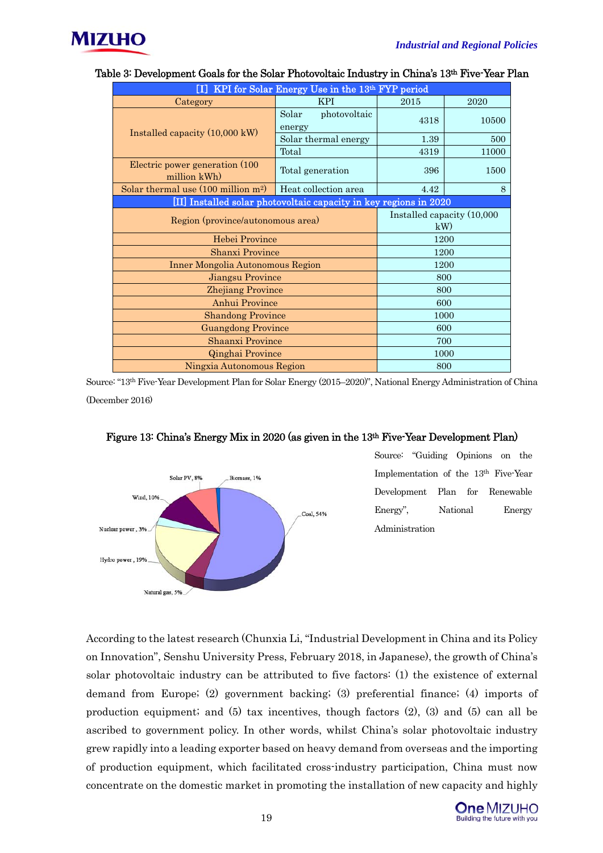

| [I] KPI for Solar Energy Use in the 13th FYP period               |                                  |      |       |  |  |
|-------------------------------------------------------------------|----------------------------------|------|-------|--|--|
| Category                                                          | <b>KPI</b>                       | 2015 | 2020  |  |  |
|                                                                   | Solar<br>photovoltaic<br>energy  | 4318 | 10500 |  |  |
| Installed capacity $(10,000 \text{ kW})$                          | Solar thermal energy             | 1.39 | 500   |  |  |
|                                                                   | Total                            | 4319 | 11000 |  |  |
| Electric power generation (100)<br>million kWh)                   | 396                              | 1500 |       |  |  |
| Solar thermal use $(100 \text{ million m}^2)$                     | 4.42                             | 8    |       |  |  |
| [II] Installed solar photovoltaic capacity in key regions in 2020 |                                  |      |       |  |  |
| Region (province/autonomous area)                                 | Installed capacity (10,000<br>kW |      |       |  |  |
| Hebei Province                                                    | 1200                             |      |       |  |  |
| <b>Shanxi Province</b>                                            | 1200                             |      |       |  |  |
| <b>Inner Mongolia Autonomous Region</b>                           | 1200                             |      |       |  |  |
| Jiangsu Province                                                  | 800                              |      |       |  |  |
| <b>Zhejiang Province</b>                                          | 800                              |      |       |  |  |
| Anhui Province                                                    | 600                              |      |       |  |  |
| <b>Shandong Province</b>                                          | 1000                             |      |       |  |  |
| <b>Guangdong Province</b>                                         | 600                              |      |       |  |  |
| <b>Shaanxi Province</b>                                           | 700                              |      |       |  |  |
| Qinghai Province                                                  | 1000                             |      |       |  |  |
| Ningxia Autonomous Region                                         | 800                              |      |       |  |  |

## Table 3: Development Goals for the Solar Photovoltaic Industry in China's 13<sup>th</sup> Five-Year Plan

Source: "13th Five-Year Development Plan for Solar Energy (2015–2020)", National Energy Administration of China (December 2016)



## Figure 13: China's Energy Mix in 2020 (as given in the 13th Five-Year Development Plan)

Source: "Guiding Opinions on the Implementation of the 13th Five-Year Development Plan for Renewable Energy", National Energy Administration

According to the latest research (Chunxia Li, "Industrial Development in China and its Policy on Innovation", Senshu University Press, February 2018, in Japanese), the growth of China's solar photovoltaic industry can be attributed to five factors: (1) the existence of external demand from Europe; (2) government backing; (3) preferential finance; (4) imports of production equipment; and (5) tax incentives, though factors (2), (3) and (5) can all be ascribed to government policy. In other words, whilst China's solar photovoltaic industry grew rapidly into a leading exporter based on heavy demand from overseas and the importing of production equipment, which facilitated cross-industry participation, China must now concentrate on the domestic market in promoting the installation of new capacity and highly

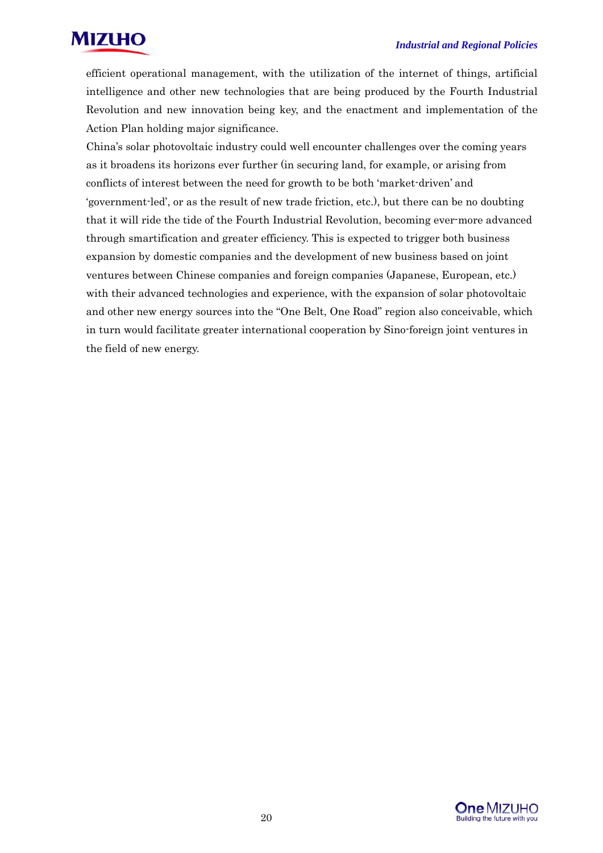

efficient operational management, with the utilization of the internet of things, artificial intelligence and other new technologies that are being produced by the Fourth Industrial Revolution and new innovation being key, and the enactment and implementation of the Action Plan holding major significance.

China's solar photovoltaic industry could well encounter challenges over the coming years as it broadens its horizons ever further (in securing land, for example, or arising from conflicts of interest between the need for growth to be both 'market-driven' and 'government-led', or as the result of new trade friction, etc.), but there can be no doubting that it will ride the tide of the Fourth Industrial Revolution, becoming ever-more advanced through smartification and greater efficiency. This is expected to trigger both business expansion by domestic companies and the development of new business based on joint ventures between Chinese companies and foreign companies (Japanese, European, etc.) with their advanced technologies and experience, with the expansion of solar photovoltaic and other new energy sources into the "One Belt, One Road" region also conceivable, which in turn would facilitate greater international cooperation by Sino-foreign joint ventures in the field of new energy.

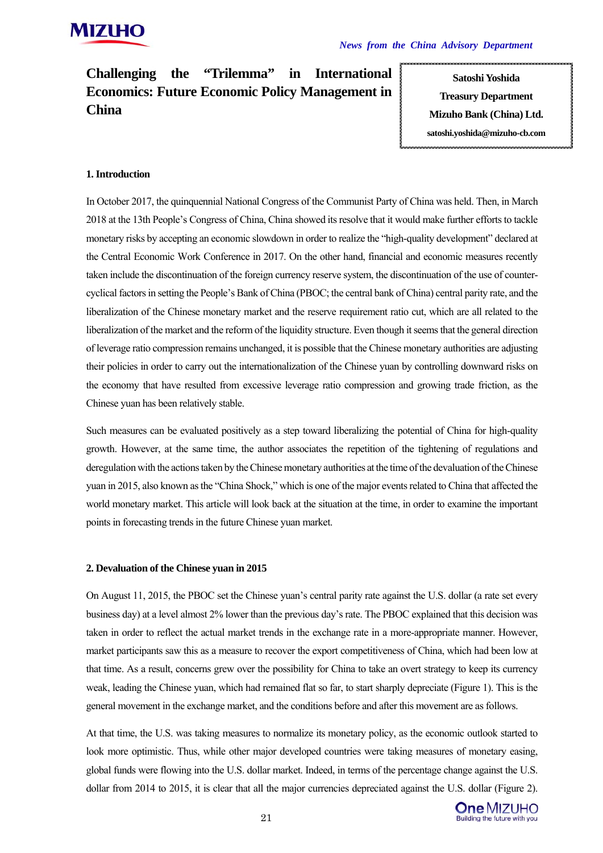**Challenging the "Trilemma" in International Economics: Future Economic Policy Management in China**

**Satoshi Yoshida Treasury Department Mizuho Bank (China) Ltd. satoshi.yoshida@mizuho-cb.com**

## **1. Introduction**

In October 2017, the quinquennial National Congress of the Communist Party of China was held. Then, in March 2018 at the 13th People's Congress of China, China showed its resolve that it would make further efforts to tackle monetary risks by accepting an economic slowdown in order to realize the "high-quality development" declared at the Central Economic Work Conference in 2017. On the other hand, financial and economic measures recently taken include the discontinuation of the foreign currency reserve system, the discontinuation of the use of countercyclical factors in setting the People's Bank of China (PBOC; the central bank of China) central parity rate, and the liberalization of the Chinese monetary market and the reserve requirement ratio cut, which are all related to the liberalization of the market and the reform of the liquidity structure. Even though it seems that the general direction of leverage ratio compression remains unchanged, it is possible that the Chinese monetary authorities are adjusting their policies in order to carry out the internationalization of the Chinese yuan by controlling downward risks on the economy that have resulted from excessive leverage ratio compression and growing trade friction, as the Chinese yuan has been relatively stable.

Such measures can be evaluated positively as a step toward liberalizing the potential of China for high-quality growth. However, at the same time, the author associates the repetition of the tightening of regulations and deregulation with the actions taken by the Chinese monetary authorities at the time of the devaluation of the Chinese yuan in 2015, also known as the "China Shock," which is one of the major events related to China that affected the world monetary market. This article will look back at the situation at the time, in order to examine the important points in forecasting trends in the future Chinese yuan market.

## **2. Devaluation of the Chinese yuan in 2015**

On August 11, 2015, the PBOC set the Chinese yuan's central parity rate against the U.S. dollar (a rate set every business day) at a level almost 2% lower than the previous day's rate. The PBOC explained that this decision was taken in order to reflect the actual market trends in the exchange rate in a more-appropriate manner. However, market participants saw this as a measure to recover the export competitiveness of China, which had been low at that time. As a result, concerns grew over the possibility for China to take an overt strategy to keep its currency weak, leading the Chinese yuan, which had remained flat so far, to start sharply depreciate (Figure 1). This is the general movement in the exchange market, and the conditions before and after this movement are as follows.

At that time, the U.S. was taking measures to normalize its monetary policy, as the economic outlook started to look more optimistic. Thus, while other major developed countries were taking measures of monetary easing, global funds were flowing into the U.S. dollar market. Indeed, in terms of the percentage change against the U.S. dollar from 2014 to 2015, it is clear that all the major currencies depreciated against the U.S. dollar (Figure 2).

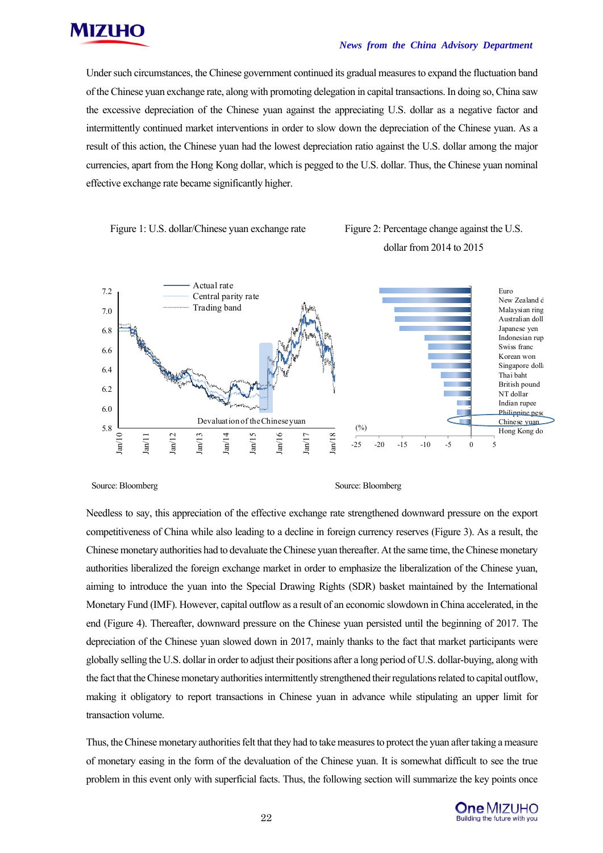

#### *News from the China Advisory Department*

Under such circumstances, the Chinese government continued its gradual measures to expand the fluctuation band of the Chinese yuan exchange rate, along with promoting delegation in capital transactions. In doing so, China saw the excessive depreciation of the Chinese yuan against the appreciating U.S. dollar as a negative factor and intermittently continued market interventions in order to slow down the depreciation of the Chinese yuan. As a result of this action, the Chinese yuan had the lowest depreciation ratio against the U.S. dollar among the major currencies, apart from the Hong Kong dollar, which is pegged to the U.S. dollar. Thus, the Chinese yuan nominal effective exchange rate became significantly higher.



## dollar from 2014 to 2015



Source: Bloomberg Source: Bloomberg Source: Bloomberg Source: Bloomberg

Needless to say, this appreciation of the effective exchange rate strengthened downward pressure on the export competitiveness of China while also leading to a decline in foreign currency reserves (Figure 3). As a result, the Chinese monetary authorities had to devaluate the Chinese yuan thereafter. At the same time, the Chinese monetary authorities liberalized the foreign exchange market in order to emphasize the liberalization of the Chinese yuan, aiming to introduce the yuan into the Special Drawing Rights (SDR) basket maintained by the International Monetary Fund (IMF). However, capital outflow as a result of an economic slowdown in China accelerated, in the end (Figure 4). Thereafter, downward pressure on the Chinese yuan persisted until the beginning of 2017. The depreciation of the Chinese yuan slowed down in 2017, mainly thanks to the fact that market participants were globally selling the U.S. dollar in order to adjust their positions after a long period of U.S. dollar-buying, along with the fact that the Chinese monetary authorities intermittently strengthened their regulations related to capital outflow, making it obligatory to report transactions in Chinese yuan in advance while stipulating an upper limit for transaction volume.

Thus, the Chinese monetary authorities felt that they had to take measures to protect the yuan after taking a measure of monetary easing in the form of the devaluation of the Chinese yuan. It is somewhat difficult to see the true problem in this event only with superficial facts. Thus, the following section will summarize the key points once

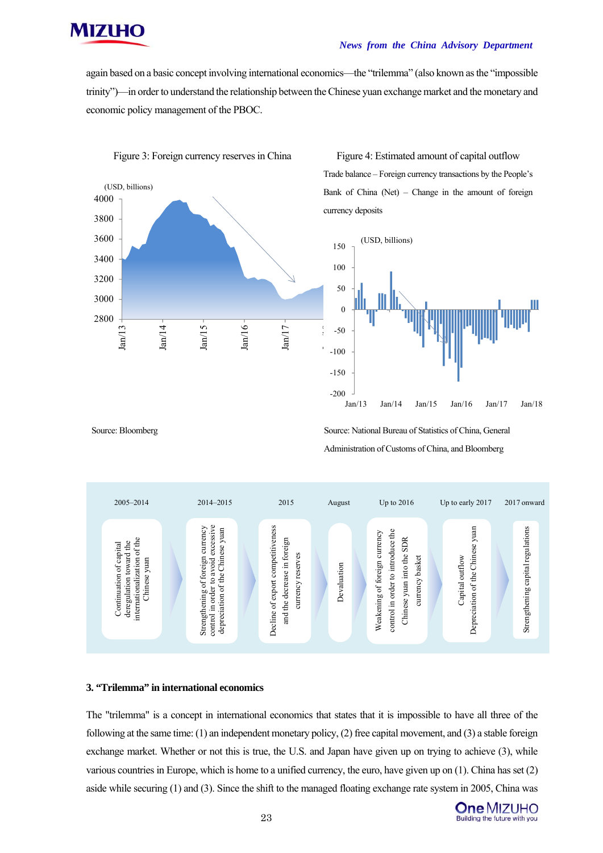

#### *News from the China Advisory Department*

again based on a basic concept involving international economics—the "trilemma" (also known as the "impossible trinity")—in order to understand the relationship between the Chinese yuan exchange market and the monetary and economic policy management of the PBOC.



Figure 3: Foreign currency reserves in China Figure 4: Estimated amount of capital outflow Trade balance – Foreign currency transactions by the People's Bank of China (Net) – Change in the amount of foreign currency deposits



Source: Bloomberg Source: National Bureau of Statistics of China, General Administration of Customs of China, and Bloomberg



#### **3. "Trilemma" in international economics**

The "trilemma" is a concept in international economics that states that it is impossible to have all three of the following at the same time: (1) an independent monetary policy, (2) free capital movement, and (3) a stable foreign exchange market. Whether or not this is true, the U.S. and Japan have given up on trying to achieve (3), while various countries in Europe, which is home to a unified currency, the euro, have given up on (1). China has set (2) aside while securing (1) and (3). Since the shift to the managed floating exchange rate system in 2005, China was

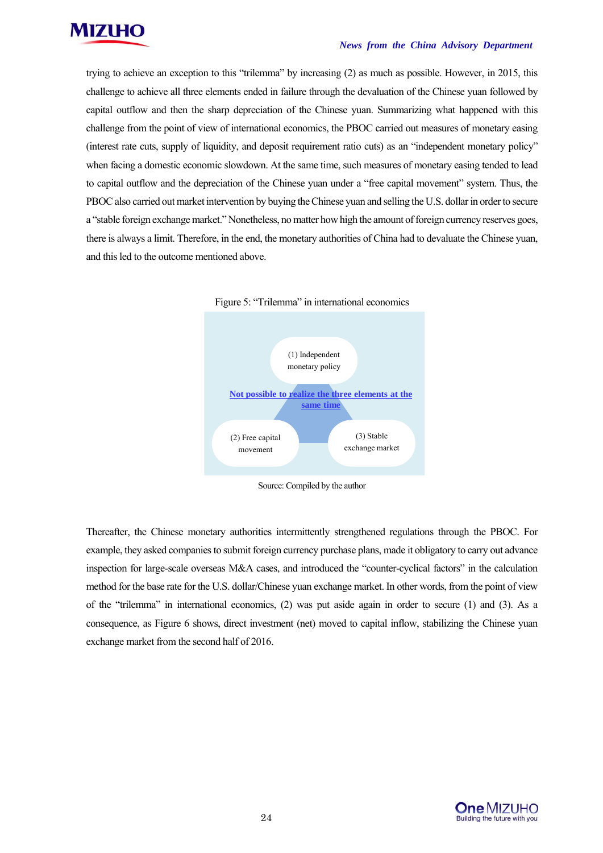

trying to achieve an exception to this "trilemma" by increasing (2) as much as possible. However, in 2015, this challenge to achieve all three elements ended in failure through the devaluation of the Chinese yuan followed by capital outflow and then the sharp depreciation of the Chinese yuan. Summarizing what happened with this challenge from the point of view of international economics, the PBOC carried out measures of monetary easing (interest rate cuts, supply of liquidity, and deposit requirement ratio cuts) as an "independent monetary policy" when facing a domestic economic slowdown. At the same time, such measures of monetary easing tended to lead to capital outflow and the depreciation of the Chinese yuan under a "free capital movement" system. Thus, the PBOC also carried out market intervention by buying the Chinese yuan and selling the U.S. dollar in order to secure a "stable foreign exchange market." Nonetheless, no matter how high the amount of foreign currency reserves goes, there is always a limit. Therefore, in the end, the monetary authorities of China had to devaluate the Chinese yuan, and this led to the outcome mentioned above.





Thereafter, the Chinese monetary authorities intermittently strengthened regulations through the PBOC. For example, they asked companies to submit foreign currency purchase plans, made it obligatory to carry out advance inspection for large-scale overseas M&A cases, and introduced the "counter-cyclical factors" in the calculation method for the base rate for the U.S. dollar/Chinese yuan exchange market. In other words, from the point of view of the "trilemma" in international economics, (2) was put aside again in order to secure (1) and (3). As a consequence, as Figure 6 shows, direct investment (net) moved to capital inflow, stabilizing the Chinese yuan exchange market from the second half of 2016.



Source: Compiled by the author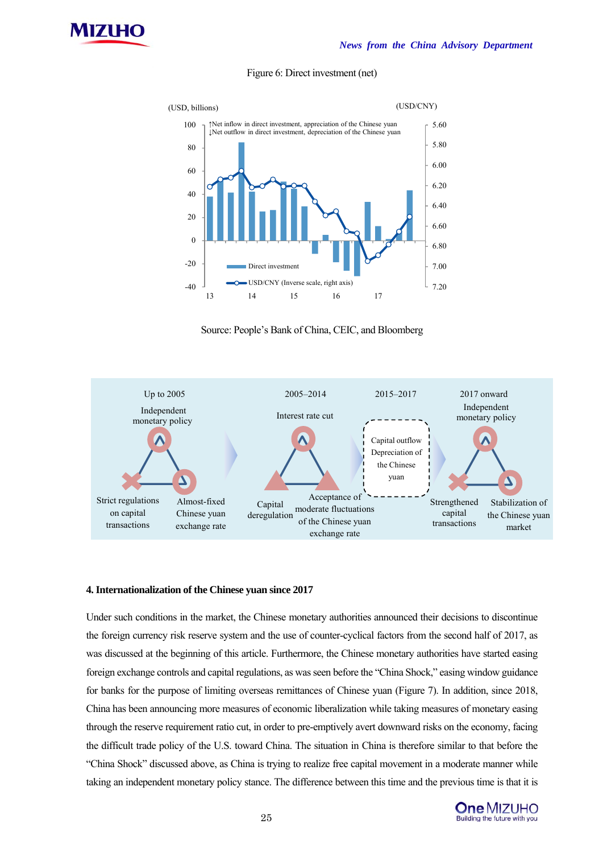



#### Figure 6: Direct investment (net)





#### **4. Internationalization of the Chinese yuan since 2017**

Under such conditions in the market, the Chinese monetary authorities announced their decisions to discontinue the foreign currency risk reserve system and the use of counter-cyclical factors from the second half of 2017, as was discussed at the beginning of this article. Furthermore, the Chinese monetary authorities have started easing foreign exchange controls and capital regulations, as was seen before the "China Shock," easing window guidance for banks for the purpose of limiting overseas remittances of Chinese yuan (Figure 7). In addition, since 2018, China has been announcing more measures of economic liberalization while taking measures of monetary easing through the reserve requirement ratio cut, in order to pre-emptively avert downward risks on the economy, facing the difficult trade policy of the U.S. toward China. The situation in China is therefore similar to that before the "China Shock" discussed above, as China is trying to realize free capital movement in a moderate manner while taking an independent monetary policy stance. The difference between this time and the previous time is that it is

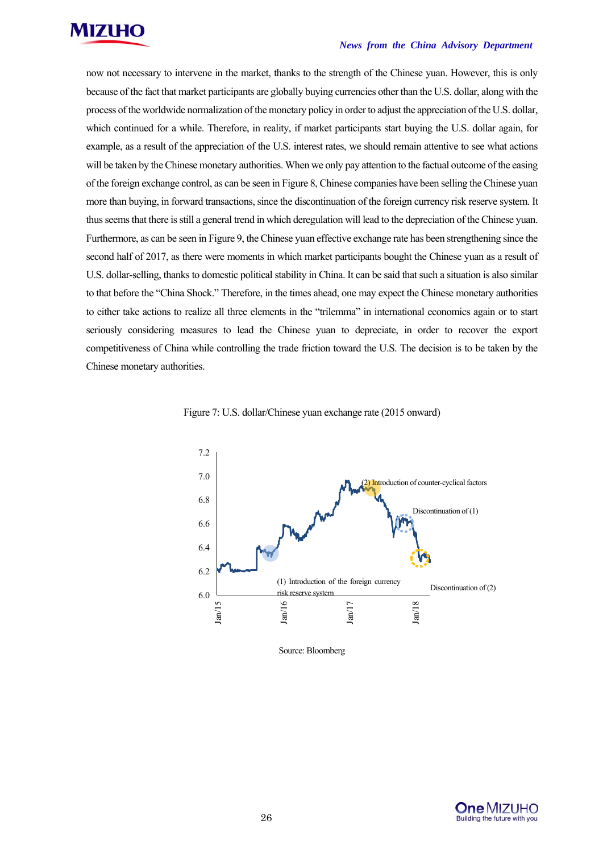

#### *News from the China Advisory Department*

now not necessary to intervene in the market, thanks to the strength of the Chinese yuan. However, this is only because of the fact that market participants are globally buying currencies other than the U.S. dollar, along with the process of the worldwide normalization of the monetary policy in order to adjust the appreciation of the U.S. dollar, which continued for a while. Therefore, in reality, if market participants start buying the U.S. dollar again, for example, as a result of the appreciation of the U.S. interest rates, we should remain attentive to see what actions will be taken by the Chinese monetary authorities. When we only pay attention to the factual outcome of the easing of the foreign exchange control, as can be seen in Figure 8, Chinese companies have been selling the Chinese yuan more than buying, in forward transactions, since the discontinuation of the foreign currency risk reserve system. It thus seems that there is still a general trend in which deregulation will lead to the depreciation of the Chinese yuan. Furthermore, as can be seen in Figure 9, the Chinese yuan effective exchange rate has been strengthening since the second half of 2017, as there were moments in which market participants bought the Chinese yuan as a result of U.S. dollar-selling, thanks to domestic political stability in China. It can be said that such a situation is also similar to that before the "China Shock." Therefore, in the times ahead, one may expect the Chinese monetary authorities to either take actions to realize all three elements in the "trilemma" in international economics again or to start seriously considering measures to lead the Chinese yuan to depreciate, in order to recover the export competitiveness of China while controlling the trade friction toward the U.S. The decision is to be taken by the Chinese monetary authorities.





Source: Bloomberg

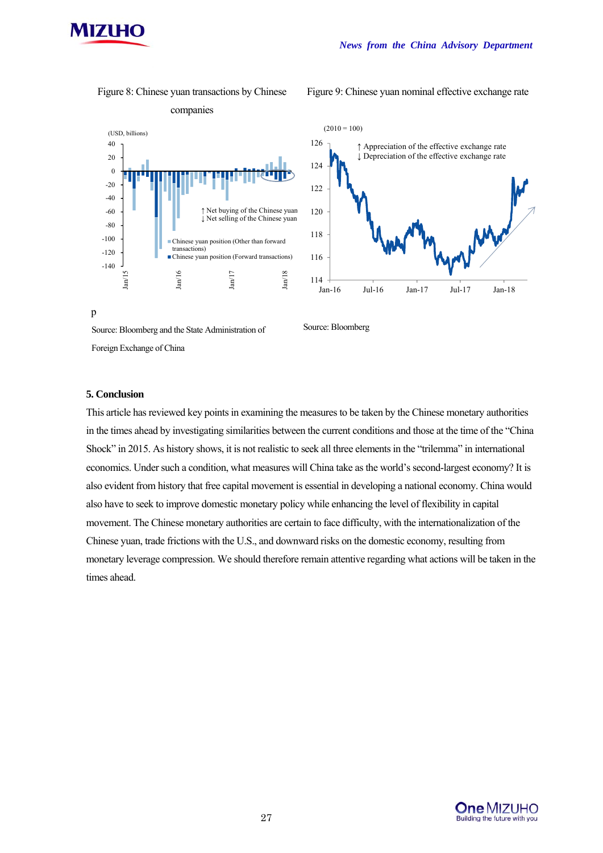

Figure 8: Chinese yuan transactions by Chinese

Figure 9: Chinese yuan nominal effective exchange rate



**5. Conclusion** 

Foreign Exchange of China

p

This article has reviewed key points in examining the measures to be taken by the Chinese monetary authorities in the times ahead by investigating similarities between the current conditions and those at the time of the "China Shock" in 2015. As history shows, it is not realistic to seek all three elements in the "trilemma" in international economics. Under such a condition, what measures will China take as the world's second-largest economy? It is also evident from history that free capital movement is essential in developing a national economy. China would also have to seek to improve domestic monetary policy while enhancing the level of flexibility in capital movement. The Chinese monetary authorities are certain to face difficulty, with the internationalization of the Chinese yuan, trade frictions with the U.S., and downward risks on the domestic economy, resulting from monetary leverage compression. We should therefore remain attentive regarding what actions will be taken in the times ahead.